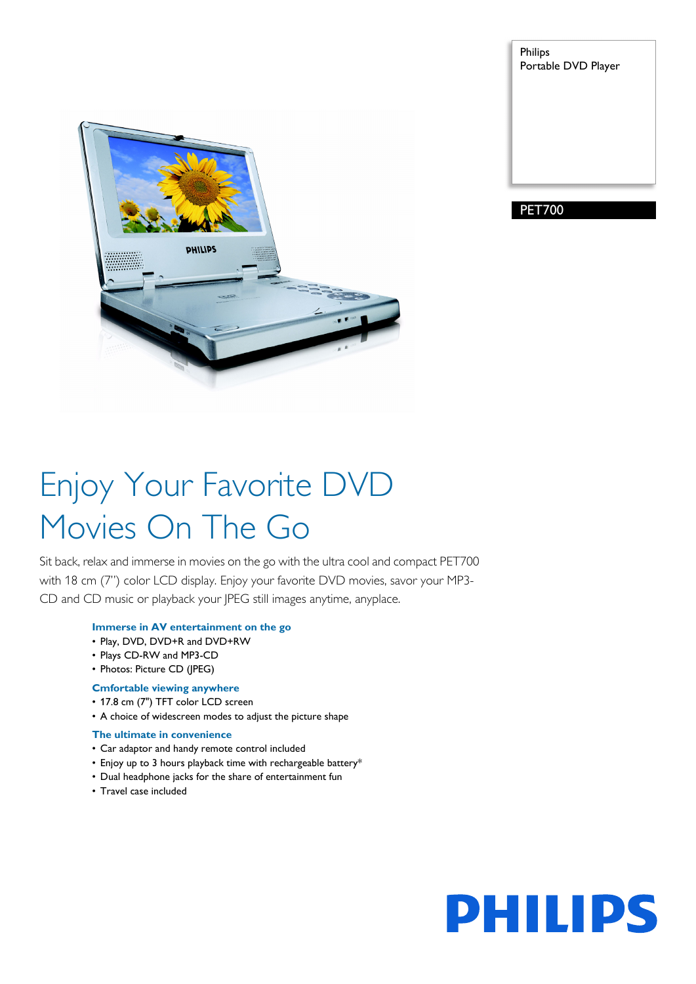

Philips Portable DVD Player

PET700

# Enjoy Your Favorite DVD Movies On The Go

Sit back, relax and immerse in movies on the go with the ultra cool and compact PET700 with 18 cm (7") color LCD display. Enjoy your favorite DVD movies, savor your MP3- CD and CD music or playback your JPEG still images anytime, anyplace.

# **Immerse in AV entertainment on the go**

- Play, DVD, DVD+R and DVD+RW
- Plays CD-RW and MP3-CD
- Photos: Picture CD (JPEG)

# **Cmfortable viewing anywhere**

- 17.8 cm (7") TFT color LCD screen
- A choice of widescreen modes to adjust the picture shape

# **The ultimate in convenience**

- Car adaptor and handy remote control included
- Enjoy up to 3 hours playback time with rechargeable battery\*
- Dual headphone jacks for the share of entertainment fun
- Travel case included